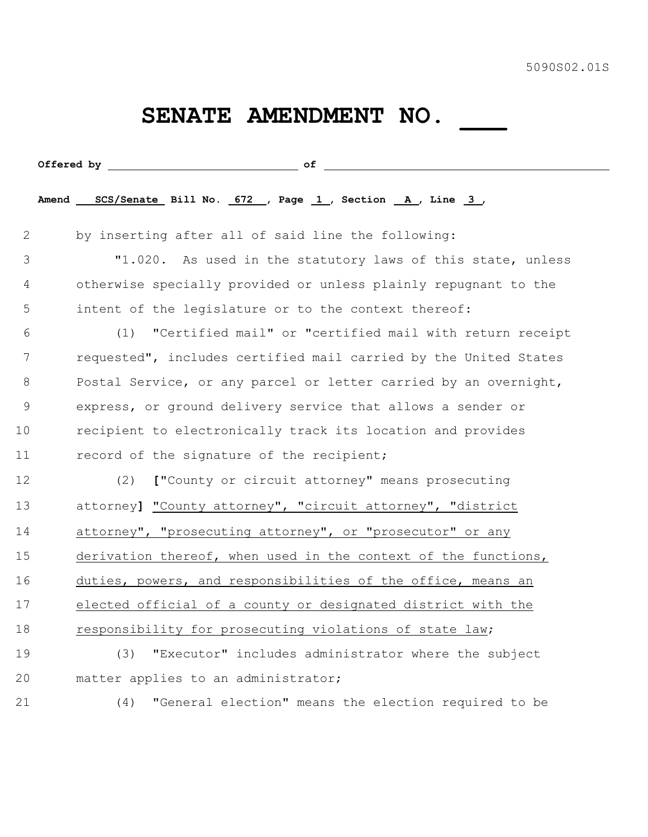## SENATE AMENDMENT NO. \_\_\_\_\_

|             | Offered by $\qquad \qquad \qquad$ of $\qquad \qquad$             |
|-------------|------------------------------------------------------------------|
|             | Amend SCS/Senate Bill No. 672 , Page 1, Section A, Line 3,       |
| 2           | by inserting after all of said line the following:               |
| 3           | "1.020. As used in the statutory laws of this state, unless      |
| 4           | otherwise specially provided or unless plainly repugnant to the  |
| 5           | intent of the legislature or to the context thereof:             |
| 6           | "Certified mail" or "certified mail with return receipt<br>(1)   |
| 7           | requested", includes certified mail carried by the United States |
| 8           | Postal Service, or any parcel or letter carried by an overnight, |
| $\mathsf 9$ | express, or ground delivery service that allows a sender or      |
| 10          | recipient to electronically track its location and provides      |
| 11          | record of the signature of the recipient;                        |
| 12          | ["County or circuit attorney" means prosecuting<br>(2)           |
| 13          | attorney] "County attorney", "circuit attorney", "district       |
| 14          | attorney", "prosecuting attorney", or "prosecutor" or any        |
| 15          | derivation thereof, when used in the context of the functions,   |
| 16          | duties, powers, and responsibilities of the office, means an     |
| 17          | elected official of a county or designated district with the     |
| 18          | responsibility for prosecuting violations of state law;          |
| 19          | (3)<br>"Executor" includes administrator where the subject       |
| 20          | matter applies to an administrator;                              |
| 21          | "General election" means the election required to be<br>(4)      |
|             |                                                                  |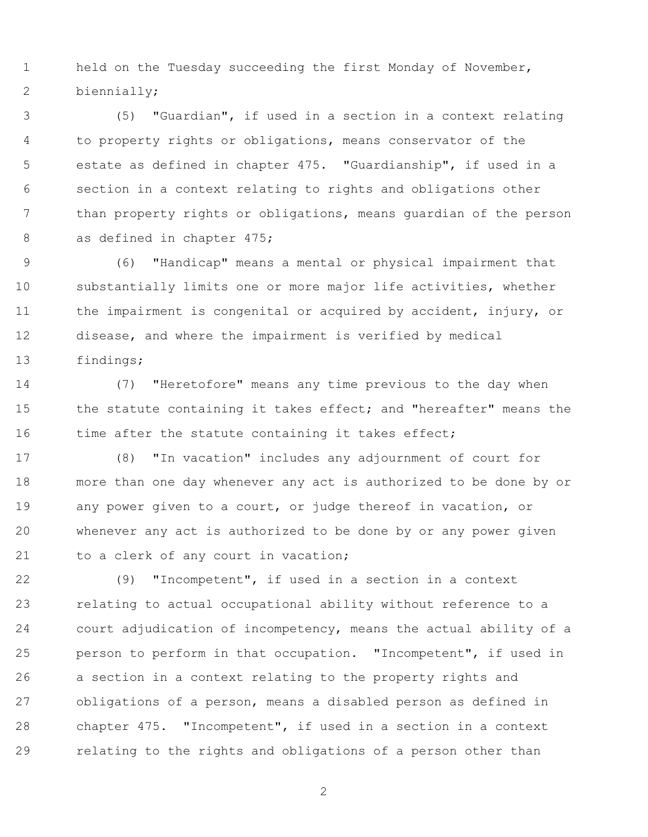held on the Tuesday succeeding the first Monday of November, biennially;

 (5) "Guardian", if used in a section in a context relating to property rights or obligations, means conservator of the estate as defined in chapter 475. "Guardianship", if used in a section in a context relating to rights and obligations other than property rights or obligations, means guardian of the person 8 as defined in chapter 475;

 (6) "Handicap" means a mental or physical impairment that substantially limits one or more major life activities, whether the impairment is congenital or acquired by accident, injury, or disease, and where the impairment is verified by medical findings;

 (7) "Heretofore" means any time previous to the day when 15 the statute containing it takes effect; and "hereafter" means the 16 time after the statute containing it takes effect;

 (8) "In vacation" includes any adjournment of court for more than one day whenever any act is authorized to be done by or any power given to a court, or judge thereof in vacation, or whenever any act is authorized to be done by or any power given 21 to a clerk of any court in vacation;

 (9) "Incompetent", if used in a section in a context relating to actual occupational ability without reference to a court adjudication of incompetency, means the actual ability of a person to perform in that occupation. "Incompetent", if used in a section in a context relating to the property rights and obligations of a person, means a disabled person as defined in chapter 475. "Incompetent", if used in a section in a context relating to the rights and obligations of a person other than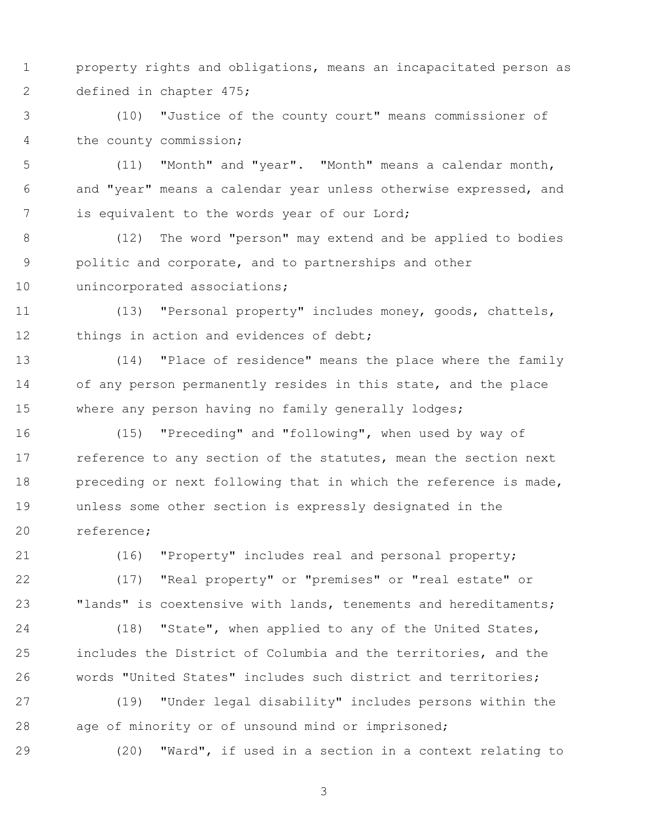- property rights and obligations, means an incapacitated person as defined in chapter 475;
- (10) "Justice of the county court" means commissioner of the county commission;
- (11) "Month" and "year". "Month" means a calendar month, and "year" means a calendar year unless otherwise expressed, and is equivalent to the words year of our Lord;
- (12) The word "person" may extend and be applied to bodies politic and corporate, and to partnerships and other unincorporated associations;
- (13) "Personal property" includes money, goods, chattels, 12 things in action and evidences of debt;
- (14) "Place of residence" means the place where the family of any person permanently resides in this state, and the place 15 where any person having no family generally lodges;
- (15) "Preceding" and "following", when used by way of 17 reference to any section of the statutes, mean the section next preceding or next following that in which the reference is made, unless some other section is expressly designated in the reference;
- 

(16) "Property" includes real and personal property;

- (17) "Real property" or "premises" or "real estate" or "lands" is coextensive with lands, tenements and hereditaments;
- (18) "State", when applied to any of the United States, includes the District of Columbia and the territories, and the words "United States" includes such district and territories;
- (19) "Under legal disability" includes persons within the age of minority or of unsound mind or imprisoned;
- (20) "Ward", if used in a section in a context relating to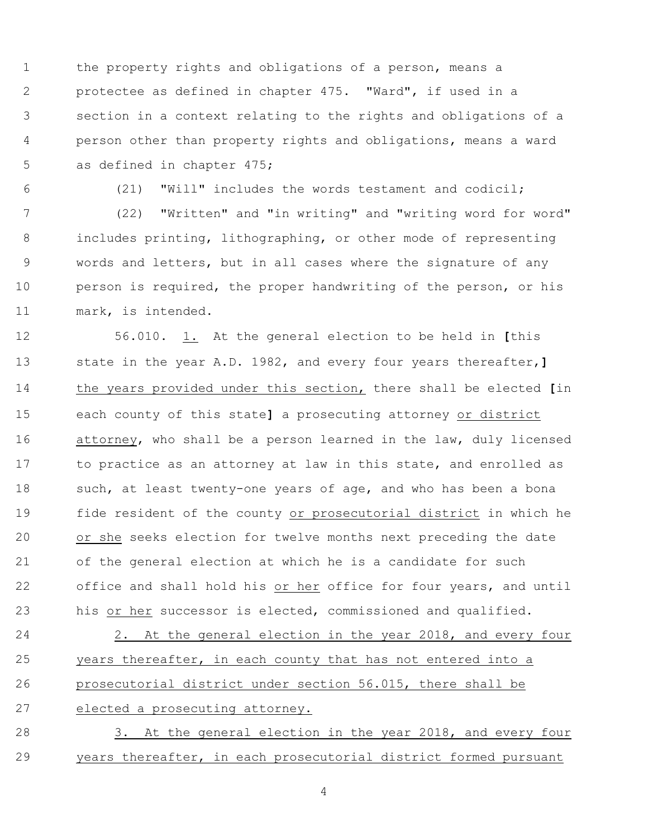the property rights and obligations of a person, means a protectee as defined in chapter 475. "Ward", if used in a section in a context relating to the rights and obligations of a person other than property rights and obligations, means a ward as defined in chapter 475;

(21) "Will" includes the words testament and codicil;

 (22) "Written" and "in writing" and "writing word for word" includes printing, lithographing, or other mode of representing words and letters, but in all cases where the signature of any 10 person is required, the proper handwriting of the person, or his mark, is intended.

 56.010. 1. At the general election to be held in **[**this state in the year A.D. 1982, and every four years thereafter,**]** the years provided under this section, there shall be elected **[**in each county of this state**]** a prosecuting attorney or district 16 attorney, who shall be a person learned in the law, duly licensed 17 to practice as an attorney at law in this state, and enrolled as 18 such, at least twenty-one years of age, and who has been a bona fide resident of the county or prosecutorial district in which he or she seeks election for twelve months next preceding the date of the general election at which he is a candidate for such 22 office and shall hold his or her office for four years, and until his or her successor is elected, commissioned and qualified.

24 2. At the general election in the year 2018, and every four years thereafter, in each county that has not entered into a prosecutorial district under section 56.015, there shall be elected a prosecuting attorney.

28 3. At the general election in the year 2018, and every four years thereafter, in each prosecutorial district formed pursuant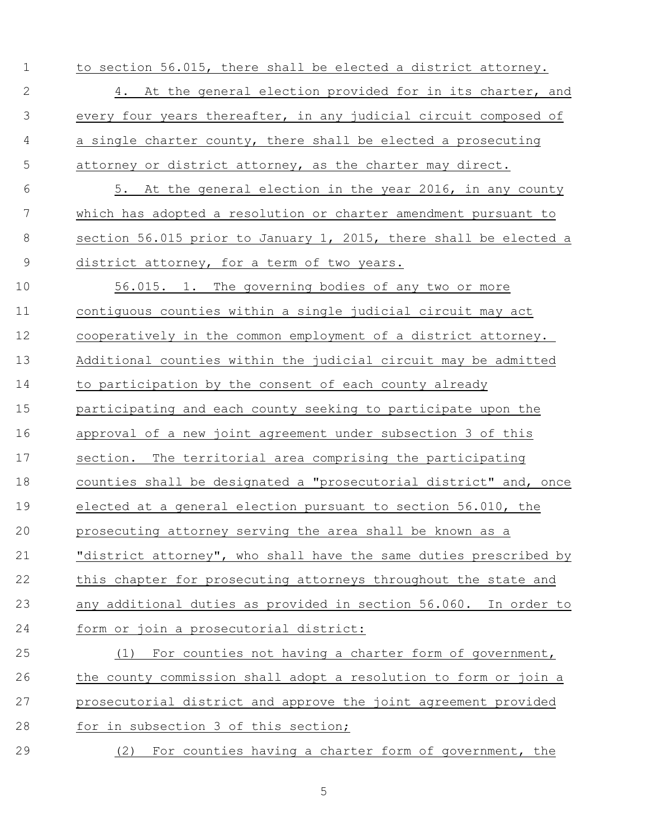- to section 56.015, there shall be elected a district attorney. 2 4. At the general election provided for in its charter, and every four years thereafter, in any judicial circuit composed of a single charter county, there shall be elected a prosecuting attorney or district attorney, as the charter may direct. 5. At the general election in the year 2016, in any county which has adopted a resolution or charter amendment pursuant to section 56.015 prior to January 1, 2015, there shall be elected a district attorney, for a term of two years. 56.015. 1. The governing bodies of any two or more contiguous counties within a single judicial circuit may act cooperatively in the common employment of a district attorney. Additional counties within the judicial circuit may be admitted to participation by the consent of each county already participating and each county seeking to participate upon the approval of a new joint agreement under subsection 3 of this section. The territorial area comprising the participating counties shall be designated a "prosecutorial district" and, once elected at a general election pursuant to section 56.010, the prosecuting attorney serving the area shall be known as a "district attorney", who shall have the same duties prescribed by this chapter for prosecuting attorneys throughout the state and any additional duties as provided in section 56.060. In order to form or join a prosecutorial district: (1) For counties not having a charter form of government, the county commission shall adopt a resolution to form or join a prosecutorial district and approve the joint agreement provided 28 for in subsection 3 of this section;
- (2) For counties having a charter form of government, the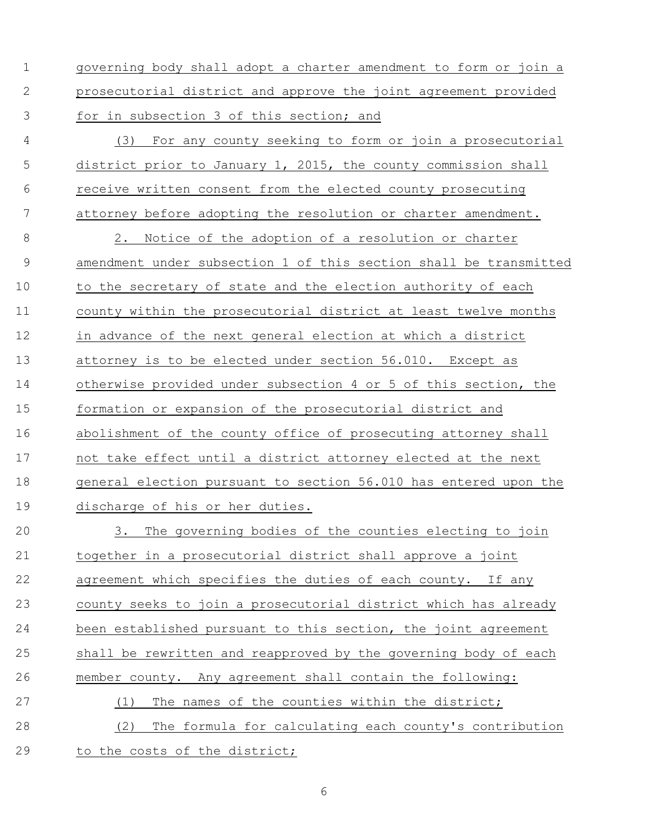- governing body shall adopt a charter amendment to form or join a prosecutorial district and approve the joint agreement provided for in subsection 3 of this section; and
- (3) For any county seeking to form or join a prosecutorial district prior to January 1, 2015, the county commission shall receive written consent from the elected county prosecuting attorney before adopting the resolution or charter amendment.

 2. Notice of the adoption of a resolution or charter amendment under subsection 1 of this section shall be transmitted to the secretary of state and the election authority of each county within the prosecutorial district at least twelve months in advance of the next general election at which a district attorney is to be elected under section 56.010. Except as otherwise provided under subsection 4 or 5 of this section, the formation or expansion of the prosecutorial district and abolishment of the county office of prosecuting attorney shall not take effect until a district attorney elected at the next general election pursuant to section 56.010 has entered upon the discharge of his or her duties.

 3. The governing bodies of the counties electing to join together in a prosecutorial district shall approve a joint agreement which specifies the duties of each county. If any county seeks to join a prosecutorial district which has already 24 been established pursuant to this section, the joint agreement shall be rewritten and reapproved by the governing body of each member county. Any agreement shall contain the following: (1) The names of the counties within the district; (2) The formula for calculating each county's contribution

29 to the costs of the district;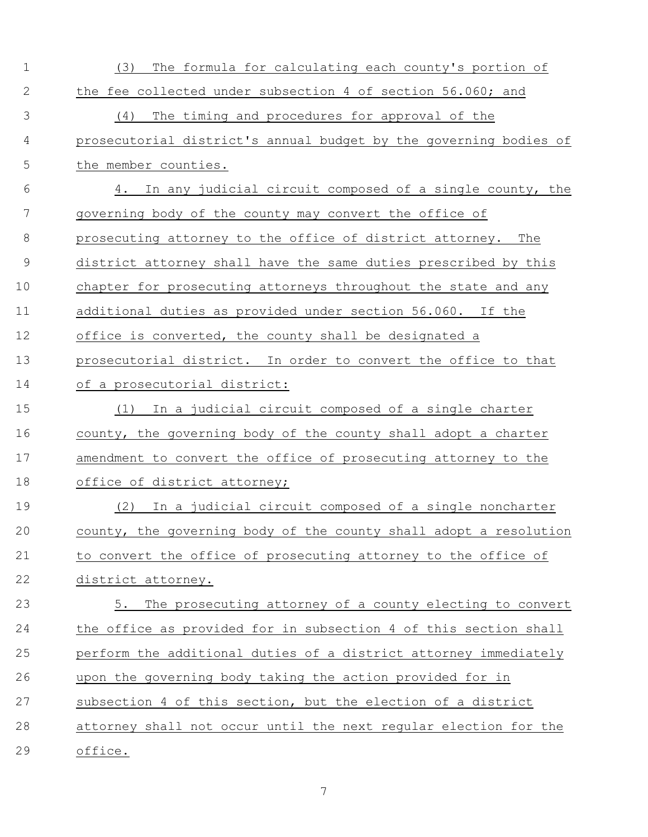| $\mathbf{1}$   | The formula for calculating each county's portion of<br>(3)       |  |
|----------------|-------------------------------------------------------------------|--|
| $\mathbf{2}$   | the fee collected under subsection 4 of section 56.060; and       |  |
| 3              | The timing and procedures for approval of the<br>(4)              |  |
| $\overline{4}$ | prosecutorial district's annual budget by the governing bodies of |  |
| 5              | the member counties.                                              |  |
| 6              | 4. In any judicial circuit composed of a single county, the       |  |
| 7              | governing body of the county may convert the office of            |  |
| 8              | prosecuting attorney to the office of district attorney. The      |  |
| $\overline{9}$ | district attorney shall have the same duties prescribed by this   |  |
| 10             | chapter for prosecuting attorneys throughout the state and any    |  |
| 11             | additional duties as provided under section 56.060. If the        |  |
| 12             | office is converted, the county shall be designated a             |  |
| 13             | prosecutorial district. In order to convert the office to that    |  |
| 14             | of a prosecutorial district:                                      |  |
| 15             | (1) In a judicial circuit composed of a single charter            |  |
| 16             | county, the governing body of the county shall adopt a charter    |  |
| 17             | amendment to convert the office of prosecuting attorney to the    |  |
| 18             | office of district attorney;                                      |  |
| 19             | (2) In a judicial circuit composed of a single noncharter         |  |
| 20             | county, the governing body of the county shall adopt a resolution |  |
| 21             | to convert the office of prosecuting attorney to the office of    |  |
| 22             | district attorney.                                                |  |
| 23             | 5. The prosecuting attorney of a county electing to convert       |  |
| 24             | the office as provided for in subsection 4 of this section shall  |  |
| 25             | perform the additional duties of a district attorney immediately  |  |
| 26             | upon the governing body taking the action provided for in         |  |
| 27             | subsection 4 of this section, but the election of a district      |  |
| 28             | attorney shall not occur until the next regular election for the  |  |
| 29             | office.                                                           |  |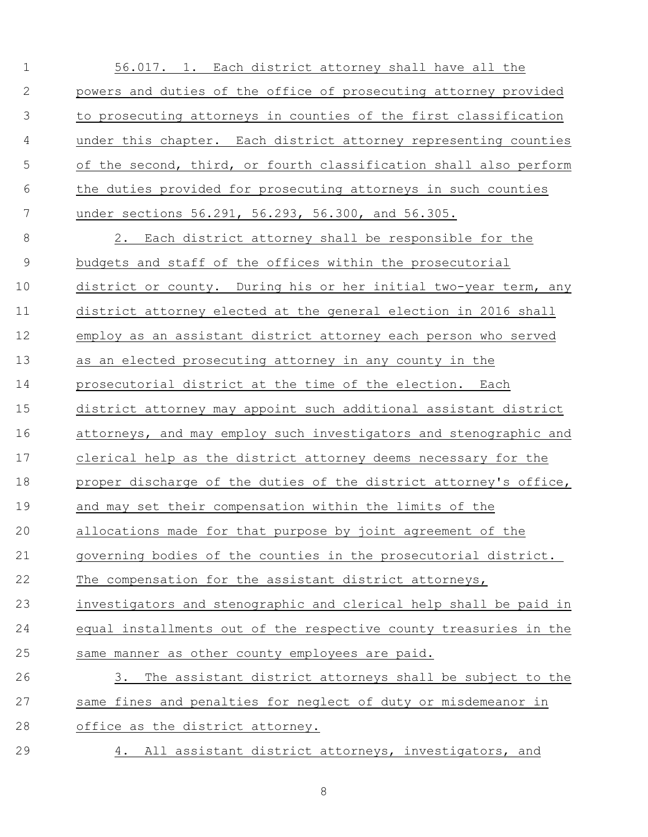| $\mathbf{1}$ | 56.017. 1. Each district attorney shall have all the              |
|--------------|-------------------------------------------------------------------|
| $\mathbf{2}$ | powers and duties of the office of prosecuting attorney provided  |
| 3            | to prosecuting attorneys in counties of the first classification  |
| 4            | under this chapter. Each district attorney representing counties  |
| 5            | of the second, third, or fourth classification shall also perform |
| 6            | the duties provided for prosecuting attorneys in such counties    |
| 7            | under sections 56.291, 56.293, 56.300, and 56.305.                |
| $\,8\,$      | 2. Each district attorney shall be responsible for the            |
| $\mathsf 9$  | budgets and staff of the offices within the prosecutorial         |
| 10           | district or county. During his or her initial two-year term, any  |
| 11           | district attorney elected at the general election in 2016 shall   |
| 12           | employ as an assistant district attorney each person who served   |
| 13           | as an elected prosecuting attorney in any county in the           |
| 14           | prosecutorial district at the time of the election. Each          |
| 15           | district attorney may appoint such additional assistant district  |
| 16           | attorneys, and may employ such investigators and stenographic and |
| 17           | clerical help as the district attorney deems necessary for the    |
| 18           | proper discharge of the duties of the district attorney's office, |
| 19           | and may set their compensation within the limits of the           |
| 20           | allocations made for that purpose by joint agreement of the       |
| 21           | governing bodies of the counties in the prosecutorial district.   |
| 22           | The compensation for the assistant district attorneys,            |
| 23           | investigators and stenographic and clerical help shall be paid in |
| 24           | equal installments out of the respective county treasuries in the |
| 25           | same manner as other county employees are paid.                   |
| 26           | The assistant district attorneys shall be subject to the<br>3.    |
| 27           | same fines and penalties for neglect of duty or misdemeanor in    |
| 28           | office as the district attorney.                                  |
| 29           | 4. All assistant district attorneys, investigators, and           |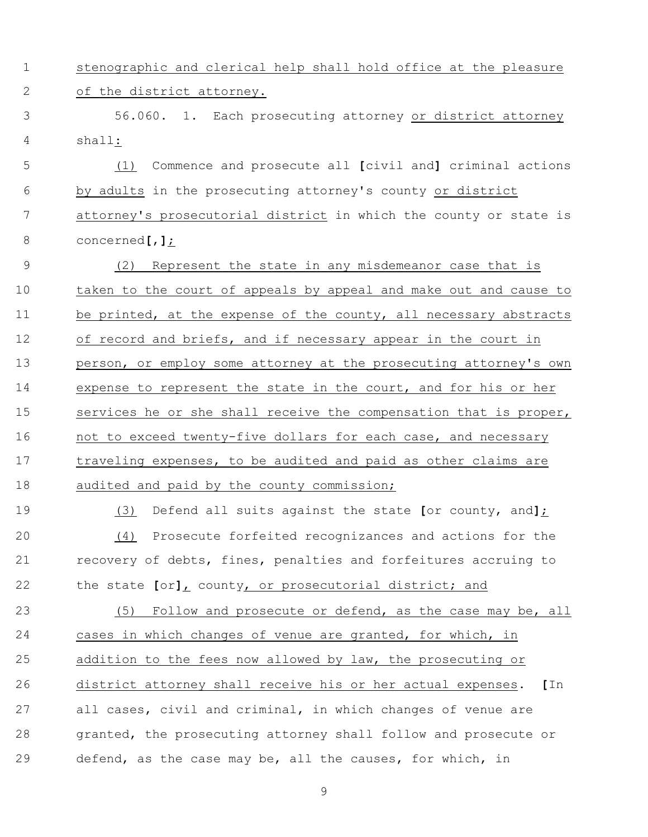stenographic and clerical help shall hold office at the pleasure of the district attorney.

 56.060. 1. Each prosecuting attorney or district attorney shall:

 (1) Commence and prosecute all **[**civil and**]** criminal actions by adults in the prosecuting attorney's county or district attorney's prosecutorial district in which the county or state is concerned**[**,**]**;

 (2) Represent the state in any misdemeanor case that is taken to the court of appeals by appeal and make out and cause to 11 be printed, at the expense of the county, all necessary abstracts of record and briefs, and if necessary appear in the court in 13 person, or employ some attorney at the prosecuting attorney's own expense to represent the state in the court, and for his or her 15 services he or she shall receive the compensation that is proper, 16 not to exceed twenty-five dollars for each case, and necessary traveling expenses, to be audited and paid as other claims are 18 audited and paid by the county commission;

 (3) Defend all suits against the state **[**or county, and**]**; (4) Prosecute forfeited recognizances and actions for the recovery of debts, fines, penalties and forfeitures accruing to the state **[**or**]**, county, or prosecutorial district; and

 (5) Follow and prosecute or defend, as the case may be, all cases in which changes of venue are granted, for which, in addition to the fees now allowed by law, the prosecuting or district attorney shall receive his or her actual expenses. **[**In all cases, civil and criminal, in which changes of venue are granted, the prosecuting attorney shall follow and prosecute or defend, as the case may be, all the causes, for which, in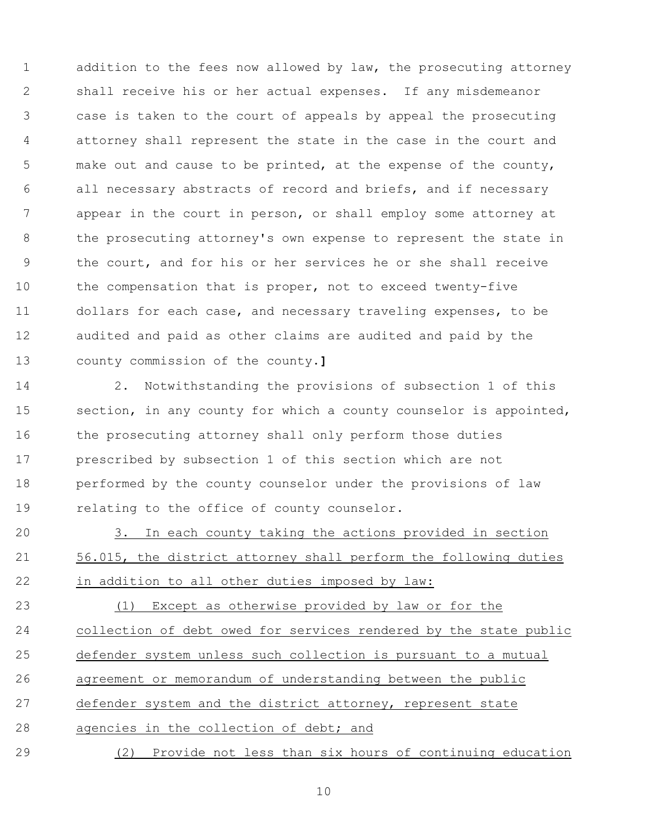1 addition to the fees now allowed by law, the prosecuting attorney shall receive his or her actual expenses. If any misdemeanor case is taken to the court of appeals by appeal the prosecuting attorney shall represent the state in the case in the court and make out and cause to be printed, at the expense of the county, all necessary abstracts of record and briefs, and if necessary appear in the court in person, or shall employ some attorney at 8 the prosecuting attorney's own expense to represent the state in the court, and for his or her services he or she shall receive 10 the compensation that is proper, not to exceed twenty-five dollars for each case, and necessary traveling expenses, to be audited and paid as other claims are audited and paid by the county commission of the county.**]**

 2. Notwithstanding the provisions of subsection 1 of this 15 section, in any county for which a county counselor is appointed, 16 the prosecuting attorney shall only perform those duties prescribed by subsection 1 of this section which are not performed by the county counselor under the provisions of law relating to the office of county counselor.

 3. In each county taking the actions provided in section 56.015, the district attorney shall perform the following duties in addition to all other duties imposed by law:

 (1) Except as otherwise provided by law or for the collection of debt owed for services rendered by the state public defender system unless such collection is pursuant to a mutual agreement or memorandum of understanding between the public defender system and the district attorney, represent state agencies in the collection of debt; and (2) Provide not less than six hours of continuing education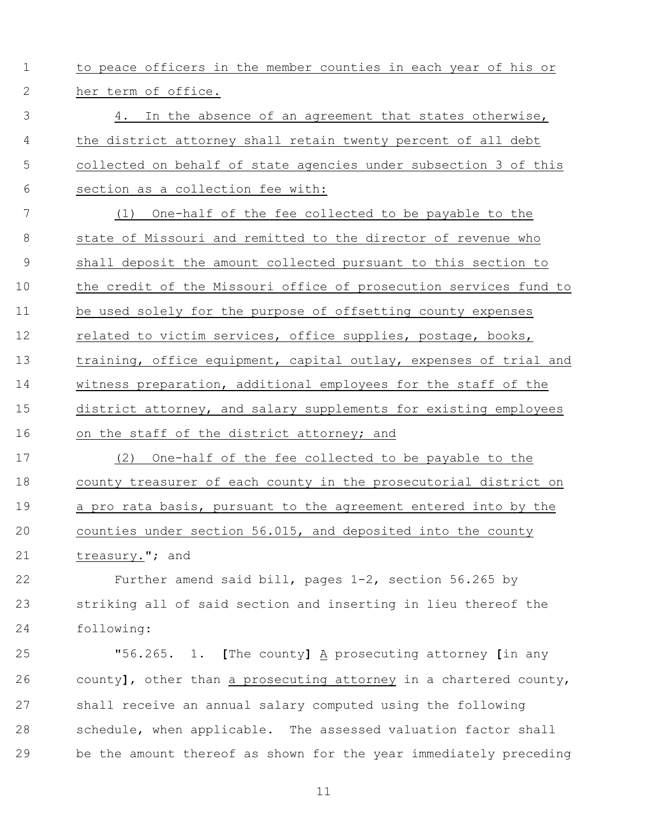to peace officers in the member counties in each year of his or her term of office.

 4. In the absence of an agreement that states otherwise, the district attorney shall retain twenty percent of all debt collected on behalf of state agencies under subsection 3 of this section as a collection fee with:

 (1) One-half of the fee collected to be payable to the state of Missouri and remitted to the director of revenue who shall deposit the amount collected pursuant to this section to the credit of the Missouri office of prosecution services fund to be used solely for the purpose of offsetting county expenses 12 related to victim services, office supplies, postage, books, 13 training, office equipment, capital outlay, expenses of trial and witness preparation, additional employees for the staff of the district attorney, and salary supplements for existing employees 16 on the staff of the district attorney; and

 (2) One-half of the fee collected to be payable to the county treasurer of each county in the prosecutorial district on a pro rata basis, pursuant to the agreement entered into by the counties under section 56.015, and deposited into the county treasury."; and

 Further amend said bill, pages 1-2, section 56.265 by striking all of said section and inserting in lieu thereof the following:

 "56.265. 1. **[**The county**]** A prosecuting attorney **[**in any county**]**, other than a prosecuting attorney in a chartered county, shall receive an annual salary computed using the following schedule, when applicable. The assessed valuation factor shall be the amount thereof as shown for the year immediately preceding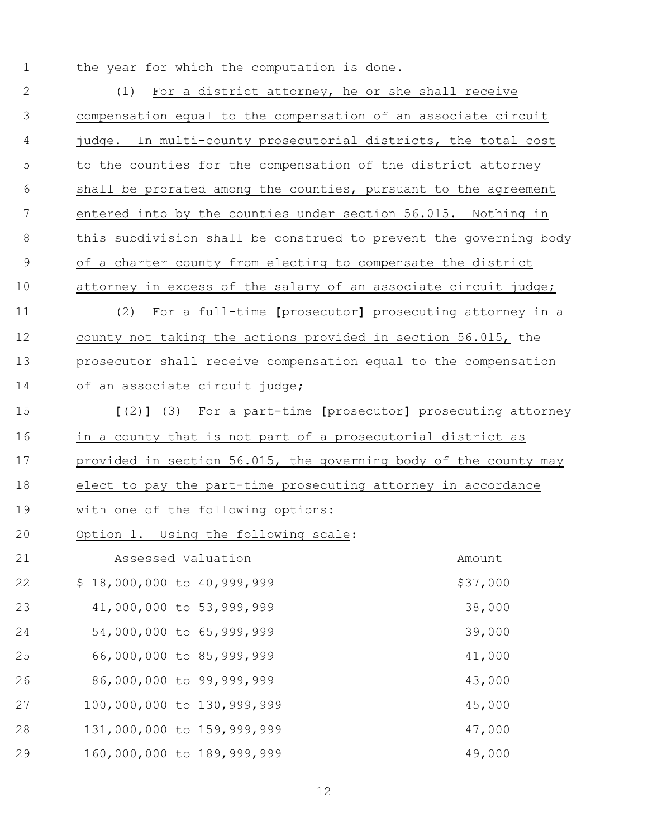the year for which the computation is done.

| $\overline{2}$ | For a district attorney, he or she shall receive<br>(1)           |          |  |  |
|----------------|-------------------------------------------------------------------|----------|--|--|
| 3              | compensation equal to the compensation of an associate circuit    |          |  |  |
| 4              | judge. In multi-county prosecutorial districts, the total cost    |          |  |  |
| 5              | to the counties for the compensation of the district attorney     |          |  |  |
| 6              | shall be prorated among the counties, pursuant to the agreement   |          |  |  |
| 7              | entered into by the counties under section 56.015. Nothing in     |          |  |  |
| 8              | this subdivision shall be construed to prevent the governing body |          |  |  |
| $\mathcal{G}$  | of a charter county from electing to compensate the district      |          |  |  |
| 10             | attorney in excess of the salary of an associate circuit judge;   |          |  |  |
| 11             | (2) For a full-time [prosecutor] prosecuting attorney in a        |          |  |  |
| 12             | county not taking the actions provided in section 56.015, the     |          |  |  |
| 13             | prosecutor shall receive compensation equal to the compensation   |          |  |  |
| 14             | of an associate circuit judge;                                    |          |  |  |
| 15             | [(2)] (3) For a part-time [prosecutor] prosecuting attorney       |          |  |  |
| 16             | in a county that is not part of a prosecutorial district as       |          |  |  |
| 17             | provided in section 56.015, the governing body of the county may  |          |  |  |
| 18             | elect to pay the part-time prosecuting attorney in accordance     |          |  |  |
| 19             | with one of the following options:                                |          |  |  |
| 20             | Option 1. Using the following scale:                              |          |  |  |
| 21             | Assessed Valuation                                                | Amount   |  |  |
| 22             | \$18,000,000 to 40,999,999                                        | \$37,000 |  |  |
| 23             | 41,000,000 to 53,999,999                                          | 38,000   |  |  |
| 24             | 54,000,000 to 65,999,999                                          | 39,000   |  |  |
| 25             | 66,000,000 to 85,999,999                                          | 41,000   |  |  |
| 26             | 86,000,000 to 99,999,999                                          | 43,000   |  |  |
| 27             | 100,000,000 to 130,999,999                                        | 45,000   |  |  |
| 28             | 131,000,000 to 159,999,999                                        | 47,000   |  |  |
|                |                                                                   |          |  |  |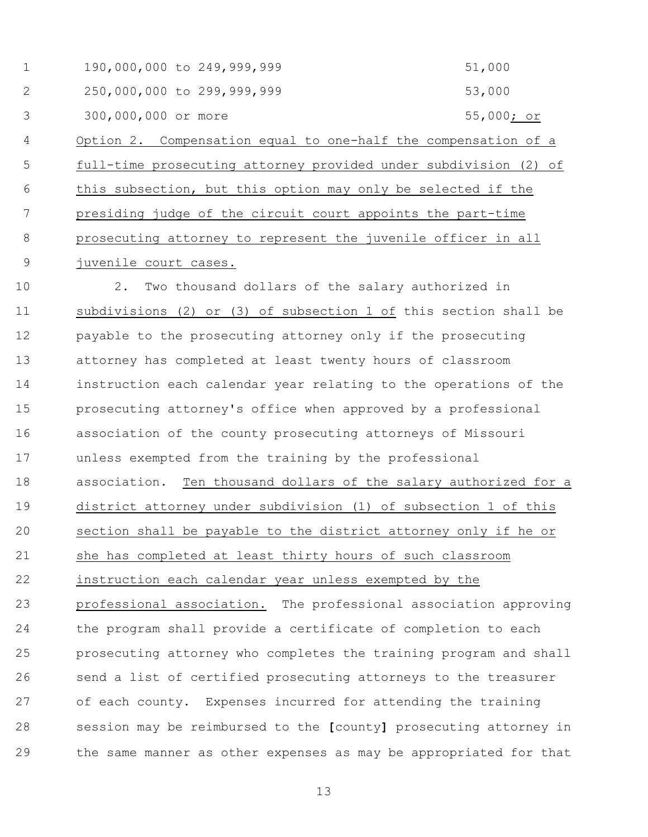1 190,000,000 to 249,999,999 51,000 2 250,000,000 to 299,999,999 53,000 3 300,000,000 or more 55,000; or Option 2. Compensation equal to one-half the compensation of a full-time prosecuting attorney provided under subdivision (2) of this subsection, but this option may only be selected if the presiding judge of the circuit court appoints the part-time prosecuting attorney to represent the juvenile officer in all juvenile court cases.

 2. Two thousand dollars of the salary authorized in subdivisions (2) or (3) of subsection 1 of this section shall be payable to the prosecuting attorney only if the prosecuting attorney has completed at least twenty hours of classroom instruction each calendar year relating to the operations of the prosecuting attorney's office when approved by a professional association of the county prosecuting attorneys of Missouri unless exempted from the training by the professional association. Ten thousand dollars of the salary authorized for a district attorney under subdivision (1) of subsection 1 of this section shall be payable to the district attorney only if he or she has completed at least thirty hours of such classroom 22 instruction each calendar year unless exempted by the professional association. The professional association approving the program shall provide a certificate of completion to each prosecuting attorney who completes the training program and shall send a list of certified prosecuting attorneys to the treasurer of each county. Expenses incurred for attending the training session may be reimbursed to the **[**county**]** prosecuting attorney in the same manner as other expenses as may be appropriated for that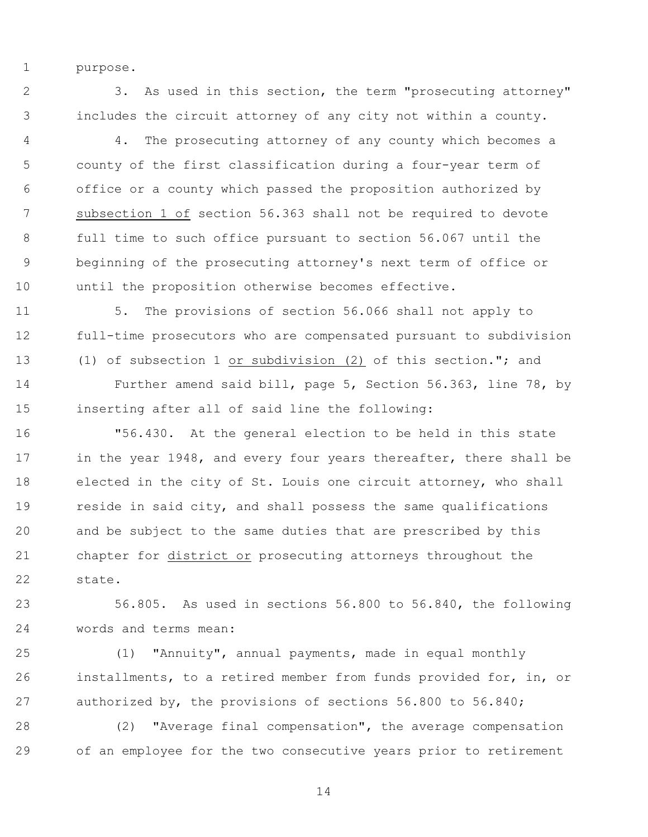purpose.

 3. As used in this section, the term "prosecuting attorney" includes the circuit attorney of any city not within a county.

 4. The prosecuting attorney of any county which becomes a county of the first classification during a four-year term of office or a county which passed the proposition authorized by subsection 1 of section 56.363 shall not be required to devote full time to such office pursuant to section 56.067 until the beginning of the prosecuting attorney's next term of office or until the proposition otherwise becomes effective.

 5. The provisions of section 56.066 shall not apply to full-time prosecutors who are compensated pursuant to subdivision (1) of subsection 1 or subdivision (2) of this section."; and

 Further amend said bill, page 5, Section 56.363, line 78, by inserting after all of said line the following:

 "56.430. At the general election to be held in this state 17 in the year 1948, and every four years thereafter, there shall be elected in the city of St. Louis one circuit attorney, who shall reside in said city, and shall possess the same qualifications and be subject to the same duties that are prescribed by this chapter for district or prosecuting attorneys throughout the state.

 56.805. As used in sections 56.800 to 56.840, the following words and terms mean:

 (1) "Annuity", annual payments, made in equal monthly installments, to a retired member from funds provided for, in, or authorized by, the provisions of sections 56.800 to 56.840;

 (2) "Average final compensation", the average compensation of an employee for the two consecutive years prior to retirement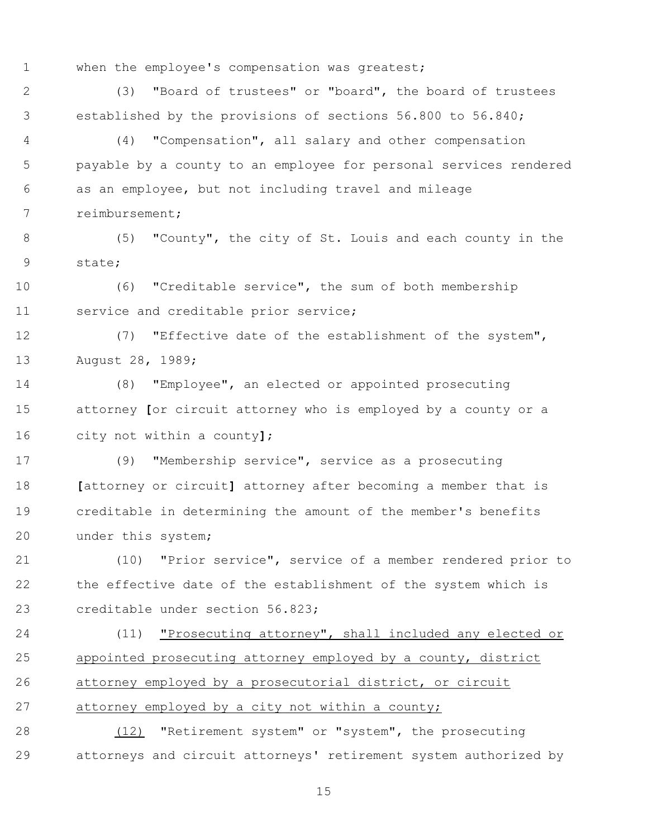when the employee's compensation was greatest;

 (3) "Board of trustees" or "board", the board of trustees established by the provisions of sections 56.800 to 56.840;

 (4) "Compensation", all salary and other compensation payable by a county to an employee for personal services rendered as an employee, but not including travel and mileage reimbursement;

 (5) "County", the city of St. Louis and each county in the state;

 (6) "Creditable service", the sum of both membership service and creditable prior service;

 (7) "Effective date of the establishment of the system", August 28, 1989;

 (8) "Employee", an elected or appointed prosecuting attorney **[**or circuit attorney who is employed by a county or a city not within a county**]**;

 (9) "Membership service", service as a prosecuting **[**attorney or circuit**]** attorney after becoming a member that is creditable in determining the amount of the member's benefits under this system;

 (10) "Prior service", service of a member rendered prior to the effective date of the establishment of the system which is creditable under section 56.823;

 (11) "Prosecuting attorney", shall included any elected or appointed prosecuting attorney employed by a county, district attorney employed by a prosecutorial district, or circuit attorney employed by a city not within a county;

 (12) "Retirement system" or "system", the prosecuting attorneys and circuit attorneys' retirement system authorized by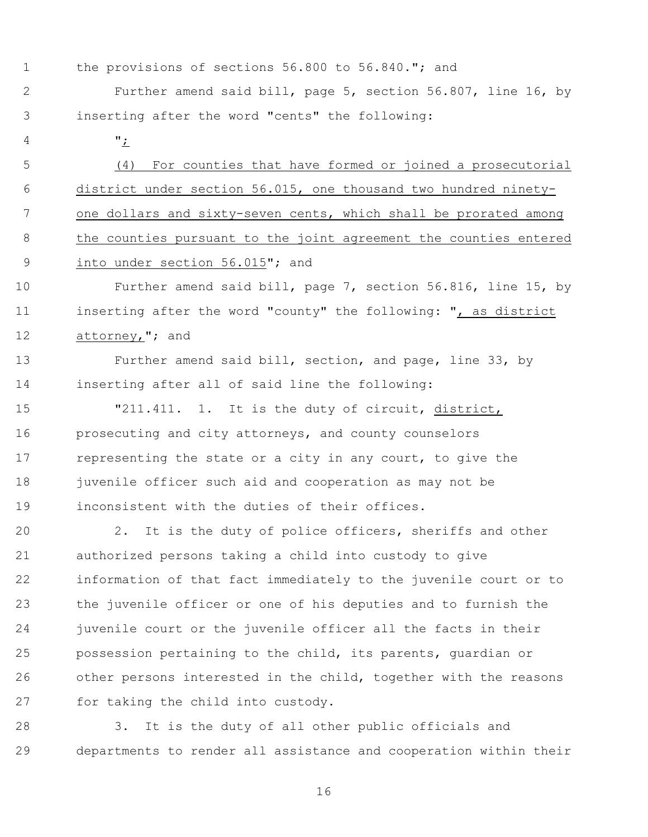the provisions of sections 56.800 to 56.840."; and

 Further amend said bill, page 5, section 56.807, line 16, by inserting after the word "cents" the following:

";

 (4) For counties that have formed or joined a prosecutorial district under section 56.015, one thousand two hundred ninety- one dollars and sixty-seven cents, which shall be prorated among the counties pursuant to the joint agreement the counties entered into under section 56.015"; and

 Further amend said bill, page 7, section 56.816, line 15, by inserting after the word "county" the following: ", as district 12 attorney,"; and

 Further amend said bill, section, and page, line 33, by inserting after all of said line the following:

 "211.411. 1. It is the duty of circuit, district, prosecuting and city attorneys, and county counselors 17 representing the state or a city in any court, to give the juvenile officer such aid and cooperation as may not be inconsistent with the duties of their offices.

 2. It is the duty of police officers, sheriffs and other authorized persons taking a child into custody to give information of that fact immediately to the juvenile court or to the juvenile officer or one of his deputies and to furnish the 24 juvenile court or the juvenile officer all the facts in their possession pertaining to the child, its parents, guardian or other persons interested in the child, together with the reasons for taking the child into custody.

 3. It is the duty of all other public officials and departments to render all assistance and cooperation within their